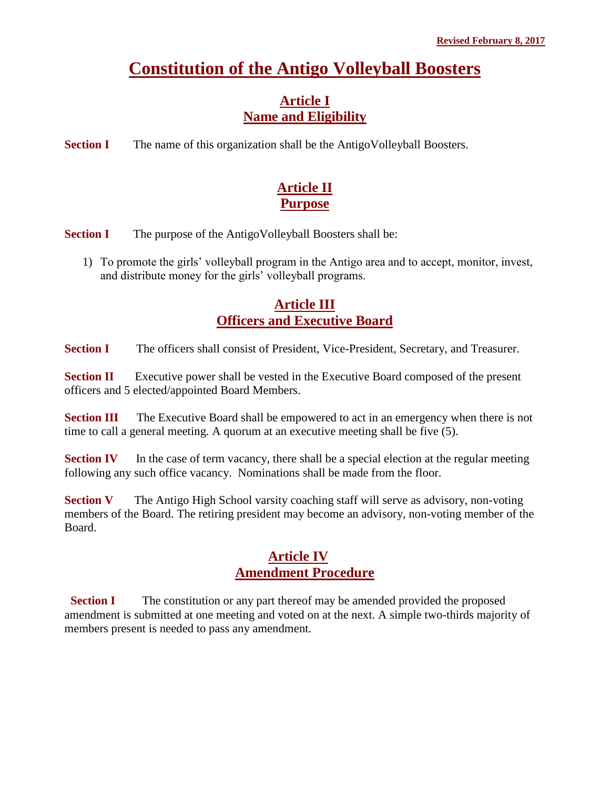# **Constitution of the Antigo Volleyball Boosters**

#### **Article I Name and Eligibility**

**Section I** The name of this organization shall be the AntigoVolleyball Boosters.

## **Article II Purpose**

**Section I** The purpose of the AntigoVolleyball Boosters shall be:

1) To promote the girls' volleyball program in the Antigo area and to accept, monitor, invest, and distribute money for the girls' volleyball programs.

## **Article III Officers and Executive Board**

**Section I** The officers shall consist of President, Vice-President, Secretary, and Treasurer.

**Section II** Executive power shall be vested in the Executive Board composed of the present officers and 5 elected/appointed Board Members.

**Section III** The Executive Board shall be empowered to act in an emergency when there is not time to call a general meeting. A quorum at an executive meeting shall be five (5).

**Section IV** In the case of term vacancy, there shall be a special election at the regular meeting following any such office vacancy. Nominations shall be made from the floor.

**Section V** The Antigo High School varsity coaching staff will serve as advisory, non-voting members of the Board. The retiring president may become an advisory, non-voting member of the Board.

## **Article IV Amendment Procedure**

**Section I** The constitution or any part thereof may be amended provided the proposed amendment is submitted at one meeting and voted on at the next. A simple two-thirds majority of members present is needed to pass any amendment.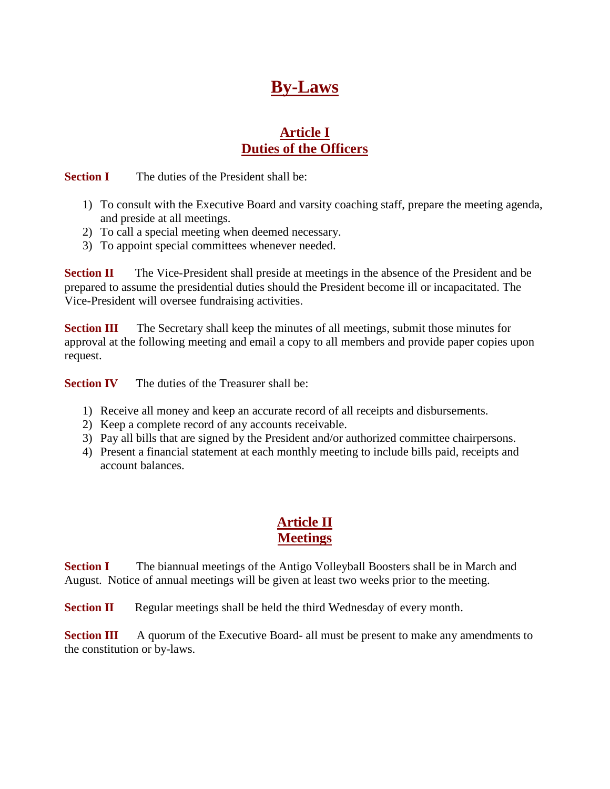## **By-Laws**

#### **Article I Duties of the Officers**

**Section I** The duties of the President shall be:

- 1) To consult with the Executive Board and varsity coaching staff, prepare the meeting agenda, and preside at all meetings.
- 2) To call a special meeting when deemed necessary.
- 3) To appoint special committees whenever needed.

**Section II** The Vice-President shall preside at meetings in the absence of the President and be prepared to assume the presidential duties should the President become ill or incapacitated. The Vice-President will oversee fundraising activities.

**Section III** The Secretary shall keep the minutes of all meetings, submit those minutes for approval at the following meeting and email a copy to all members and provide paper copies upon request.

**Section IV** The duties of the Treasurer shall be:

- 1) Receive all money and keep an accurate record of all receipts and disbursements.
- 2) Keep a complete record of any accounts receivable.
- 3) Pay all bills that are signed by the President and/or authorized committee chairpersons.
- 4) Present a financial statement at each monthly meeting to include bills paid, receipts and account balances.

#### **Article II Meetings**

**Section I** The biannual meetings of the Antigo Volleyball Boosters shall be in March and August. Notice of annual meetings will be given at least two weeks prior to the meeting.

**Section II** Regular meetings shall be held the third Wednesday of every month.

**Section III** A quorum of the Executive Board- all must be present to make any amendments to the constitution or by-laws.